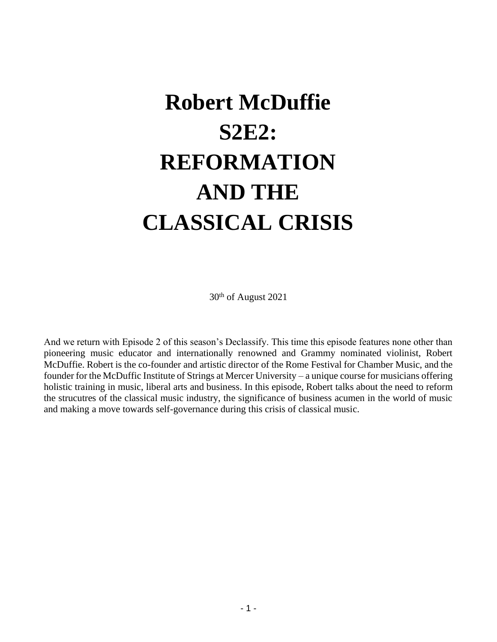# **Robert McDuffie S2E2: REFORMATION AND THE CLASSICAL CRISIS**

30th of August 2021

And we return with Episode 2 of this season's Declassify. This time this episode features none other than pioneering music educator and internationally renowned and Grammy nominated violinist, Robert McDuffie. Robert is the co-founder and artistic director of the Rome Festival for Chamber Music, and the founder for the McDuffic Institute of Strings at Mercer University – a unique course for musicians offering holistic training in music, liberal arts and business. In this episode, Robert talks about the need to reform the strucutres of the classical music industry, the significance of business acumen in the world of music and making a move towards self-governance during this crisis of classical music.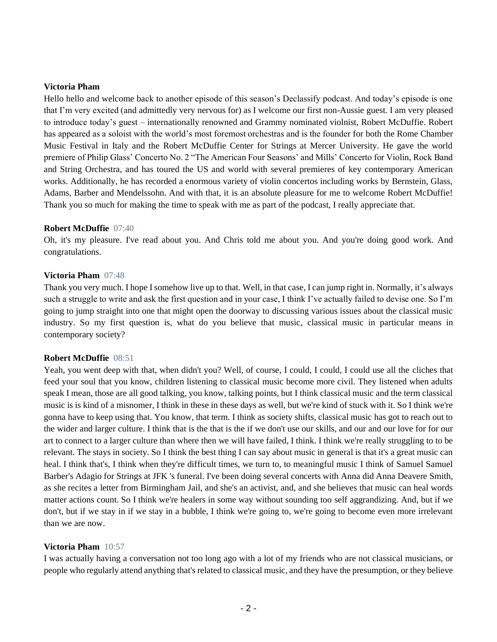#### **Victoria Pham**

Hello hello and welcome back to another episode of this season's Declassify podcast. And today's episode is one that I'm very excited (and admittedly very nervous for) as I welcome our first non-Aussie guest. I am very pleased to introduce today's guest – internationally renowned and Grammy nominated violnist, Robert McDuffie. Robert has appeared as a soloist with the world's most foremost orchestras and is the founder for both the Rome Chamber Music Festival in Italy and the Robert McDuffie Center for Strings at Mercer University. He gave the world premiere of Philip Glass' Concerto No. 2 "The American Four Seasons' and Mills' Concerto for Violin, Rock Band and String Orchestra, and has toured the US and world with several premieres of key contemporary American works. Additionally, he has recorded a enormous variety of violin concertos including works by Bernstein, Glass, Adams, Barber and Mendelssohn. And with that, it is an absolute pleasure for me to welcome Robert McDuffie! Thank you so much for making the time to speak with me as part of the podcast, I really appreciate that.

#### **Robert McDuffie** 07:40

Oh, it's my pleasure. I've read about you. And Chris told me about you. And you're doing good work. And congratulations.

#### **Victoria Pham** 07:48

Thank you very much. I hope I somehow live up to that. Well, in that case, I can jump right in. Normally, it's always such a struggle to write and ask the first question and in your case, I think I've actually failed to devise one. So I'm going to jump straight into one that might open the doorway to discussing various issues about the classical music industry. So my first question is, what do you believe that music, classical music in particular means in contemporary society?

#### **Robert McDuffie** 08:51

Yeah, you went deep with that, when didn't you? Well, of course, I could, I could, I could use all the cliches that feed your soul that you know, children listening to classical music become more civil. They listened when adults speak I mean, those are all good talking, you know, talking points, but I think classical music and the term classical music is is kind of a misnomer, I think in these in these days as well, but we're kind of stuck with it. So I think we're gonna have to keep using that. You know, that term. I think as society shifts, classical music has got to reach out to the wider and larger culture. I think that is the that is the if we don't use our skills, and our and our love for for our art to connect to a larger culture than where then we will have failed, I think. I think we're really struggling to to be relevant. The stays in society. So I think the best thing I can say about music in general is that it's a great music can heal. I think that's, I think when they're difficult times, we turn to, to meaningful music I think of Samuel Samuel Barber's Adagio for Strings at JFK 's funeral. I've been doing several concerts with Anna did Anna Deavere Smith, as she recites a letter from Birmingham Jail, and she's an activist, and, and she believes that music can heal words matter actions count. So I think we're healers in some way without sounding too self aggrandizing. And, but if we don't, but if we stay in if we stay in a bubble, I think we're going to, we're going to become even more irrelevant than we are now.

#### **Victoria Pham** 10:57

I was actually having a conversation not too long ago with a lot of my friends who are not classical musicians, or people who regularly attend anything that's related to classical music, and they have the presumption, or they believe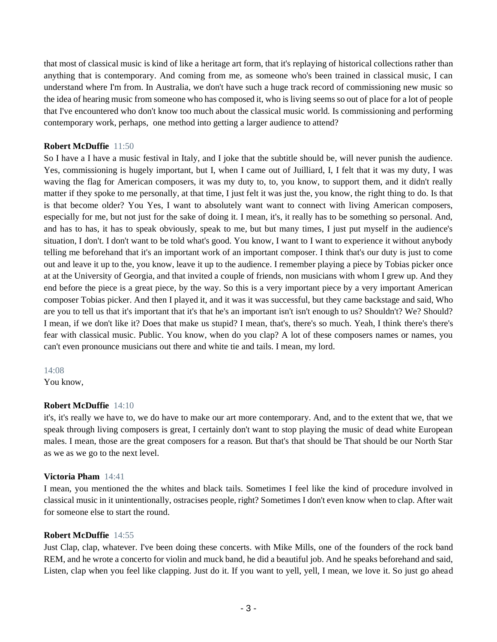that most of classical music is kind of like a heritage art form, that it's replaying of historical collections rather than anything that is contemporary. And coming from me, as someone who's been trained in classical music, I can understand where I'm from. In Australia, we don't have such a huge track record of commissioning new music so the idea of hearing music from someone who has composed it, who is living seems so out of place for a lot of people that I've encountered who don't know too much about the classical music world. Is commissioning and performing contemporary work, perhaps, one method into getting a larger audience to attend?

# **Robert McDuffie** 11:50

So I have a I have a music festival in Italy, and I joke that the subtitle should be, will never punish the audience. Yes, commissioning is hugely important, but I, when I came out of Juilliard, I, I felt that it was my duty, I was waving the flag for American composers, it was my duty to, to, you know, to support them, and it didn't really matter if they spoke to me personally, at that time, I just felt it was just the, you know, the right thing to do. Is that is that become older? You Yes, I want to absolutely want want to connect with living American composers, especially for me, but not just for the sake of doing it. I mean, it's, it really has to be something so personal. And, and has to has, it has to speak obviously, speak to me, but but many times, I just put myself in the audience's situation, I don't. I don't want to be told what's good. You know, I want to I want to experience it without anybody telling me beforehand that it's an important work of an important composer. I think that's our duty is just to come out and leave it up to the, you know, leave it up to the audience. I remember playing a piece by Tobias picker once at at the University of Georgia, and that invited a couple of friends, non musicians with whom I grew up. And they end before the piece is a great piece, by the way. So this is a very important piece by a very important American composer Tobias picker. And then I played it, and it was it was successful, but they came backstage and said, Who are you to tell us that it's important that it's that he's an important isn't isn't enough to us? Shouldn't? We? Should? I mean, if we don't like it? Does that make us stupid? I mean, that's, there's so much. Yeah, I think there's there's fear with classical music. Public. You know, when do you clap? A lot of these composers names or names, you can't even pronounce musicians out there and white tie and tails. I mean, my lord.

#### 14:08

You know,

#### **Robert McDuffie** 14:10

it's, it's really we have to, we do have to make our art more contemporary. And, and to the extent that we, that we speak through living composers is great, I certainly don't want to stop playing the music of dead white European males. I mean, those are the great composers for a reason. But that's that should be That should be our North Star as we as we go to the next level.

#### **Victoria Pham** 14:41

I mean, you mentioned the the whites and black tails. Sometimes I feel like the kind of procedure involved in classical music in it unintentionally, ostracises people, right? Sometimes I don't even know when to clap. After wait for someone else to start the round.

#### **Robert McDuffie** 14:55

Just Clap, clap, whatever. I've been doing these concerts. with Mike Mills, one of the founders of the rock band REM, and he wrote a concerto for violin and muck band, he did a beautiful job. And he speaks beforehand and said, Listen, clap when you feel like clapping. Just do it. If you want to yell, yell, I mean, we love it. So just go ahead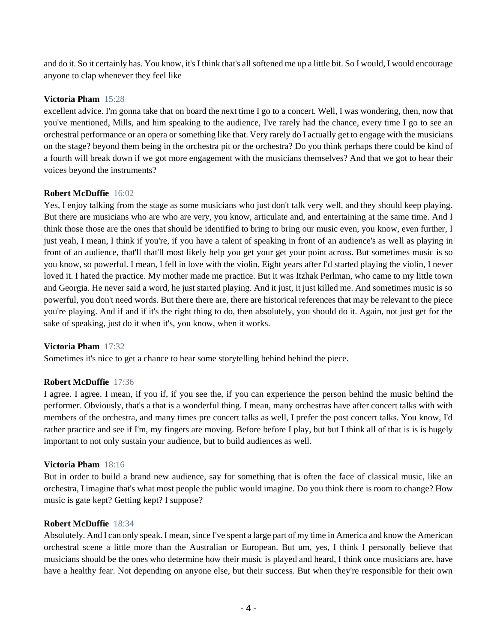and do it. So it certainly has. You know, it's I think that's all softened me up a little bit. So I would, I would encourage anyone to clap whenever they feel like

# **Victoria Pham** 15:28

excellent advice. I'm gonna take that on board the next time I go to a concert. Well, I was wondering, then, now that you've mentioned, Mills, and him speaking to the audience, I've rarely had the chance, every time I go to see an orchestral performance or an opera or something like that. Very rarely do I actually get to engage with the musicians on the stage? beyond them being in the orchestra pit or the orchestra? Do you think perhaps there could be kind of a fourth will break down if we got more engagement with the musicians themselves? And that we got to hear their voices beyond the instruments?

# **Robert McDuffie** 16:02

Yes, I enjoy talking from the stage as some musicians who just don't talk very well, and they should keep playing. But there are musicians who are who are very, you know, articulate and, and entertaining at the same time. And I think those those are the ones that should be identified to bring to bring our music even, you know, even further, I just yeah, I mean, I think if you're, if you have a talent of speaking in front of an audience's as well as playing in front of an audience, that'll that'll most likely help you get your get your point across. But sometimes music is so you know, so powerful. I mean, I fell in love with the violin. Eight years after I'd started playing the violin, I never loved it. I hated the practice. My mother made me practice. But it was Itzhak Perlman, who came to my little town and Georgia. He never said a word, he just started playing. And it just, it just killed me. And sometimes music is so powerful, you don't need words. But there there are, there are historical references that may be relevant to the piece you're playing. And if and if it's the right thing to do, then absolutely, you should do it. Again, not just get for the sake of speaking, just do it when it's, you know, when it works.

#### **Victoria Pham** 17:32

Sometimes it's nice to get a chance to hear some storytelling behind behind the piece.

#### **Robert McDuffie** 17:36

I agree. I agree. I mean, if you if, if you see the, if you can experience the person behind the music behind the performer. Obviously, that's a that is a wonderful thing. I mean, many orchestras have after concert talks with with members of the orchestra, and many times pre concert talks as well, I prefer the post concert talks. You know, I'd rather practice and see if I'm, my fingers are moving. Before before I play, but but I think all of that is is is hugely important to not only sustain your audience, but to build audiences as well.

#### **Victoria Pham** 18:16

But in order to build a brand new audience, say for something that is often the face of classical music, like an orchestra, I imagine that's what most people the public would imagine. Do you think there is room to change? How music is gate kept? Getting kept? I suppose?

#### **Robert McDuffie** 18:34

Absolutely. And I can only speak. I mean, since I've spent a large part of my time in America and know the American orchestral scene a little more than the Australian or European. But um, yes, I think I personally believe that musicians should be the ones who determine how their music is played and heard, I think once musicians are, have have a healthy fear. Not depending on anyone else, but their success. But when they're responsible for their own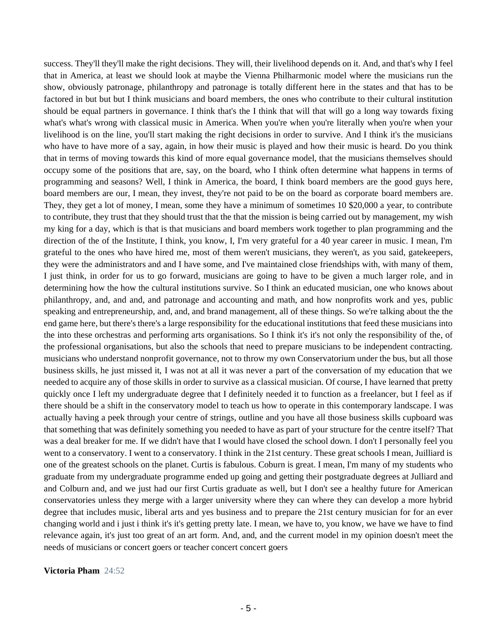success. They'll they'll make the right decisions. They will, their livelihood depends on it. And, and that's why I feel that in America, at least we should look at maybe the Vienna Philharmonic model where the musicians run the show, obviously patronage, philanthropy and patronage is totally different here in the states and that has to be factored in but but but I think musicians and board members, the ones who contribute to their cultural institution should be equal partners in governance. I think that's the I think that will that will go a long way towards fixing what's what's wrong with classical music in America. When you're when you're literally when you're when your livelihood is on the line, you'll start making the right decisions in order to survive. And I think it's the musicians who have to have more of a say, again, in how their music is played and how their music is heard. Do you think that in terms of moving towards this kind of more equal governance model, that the musicians themselves should occupy some of the positions that are, say, on the board, who I think often determine what happens in terms of programming and seasons? Well, I think in America, the board, I think board members are the good guys here, board members are our, I mean, they invest, they're not paid to be on the board as corporate board members are. They, they get a lot of money, I mean, some they have a minimum of sometimes 10 \$20,000 a year, to contribute to contribute, they trust that they should trust that the that the mission is being carried out by management, my wish my king for a day, which is that is that musicians and board members work together to plan programming and the direction of the of the Institute, I think, you know, I, I'm very grateful for a 40 year career in music. I mean, I'm grateful to the ones who have hired me, most of them weren't musicians, they weren't, as you said, gatekeepers, they were the administrators and and I have some, and I've maintained close friendships with, with many of them, I just think, in order for us to go forward, musicians are going to have to be given a much larger role, and in determining how the how the cultural institutions survive. So I think an educated musician, one who knows about philanthropy, and, and and, and patronage and accounting and math, and how nonprofits work and yes, public speaking and entrepreneurship, and, and, and brand management, all of these things. So we're talking about the the end game here, but there's there's a large responsibility for the educational institutions that feed these musicians into the into these orchestras and performing arts organisations. So I think it's it's not only the responsibility of the, of the professional organisations, but also the schools that need to prepare musicians to be independent contracting. musicians who understand nonprofit governance, not to throw my own Conservatorium under the bus, but all those business skills, he just missed it, I was not at all it was never a part of the conversation of my education that we needed to acquire any of those skills in order to survive as a classical musician. Of course, I have learned that pretty quickly once I left my undergraduate degree that I definitely needed it to function as a freelancer, but I feel as if there should be a shift in the conservatory model to teach us how to operate in this contemporary landscape. I was actually having a peek through your centre of strings, outline and you have all those business skills cupboard was that something that was definitely something you needed to have as part of your structure for the centre itself? That was a deal breaker for me. If we didn't have that I would have closed the school down. I don't I personally feel you went to a conservatory. I went to a conservatory. I think in the 21st century. These great schools I mean, Juilliard is one of the greatest schools on the planet. Curtis is fabulous. Coburn is great. I mean, I'm many of my students who graduate from my undergraduate programme ended up going and getting their postgraduate degrees at Julliard and and Colburn and, and we just had our first Curtis graduate as well, but I don't see a healthy future for American conservatories unless they merge with a larger university where they can where they can develop a more hybrid degree that includes music, liberal arts and yes business and to prepare the 21st century musician for for an ever changing world and i just i think it's it's getting pretty late. I mean, we have to, you know, we have we have to find relevance again, it's just too great of an art form. And, and, and the current model in my opinion doesn't meet the needs of musicians or concert goers or teacher concert concert goers

#### **Victoria Pham** 24:52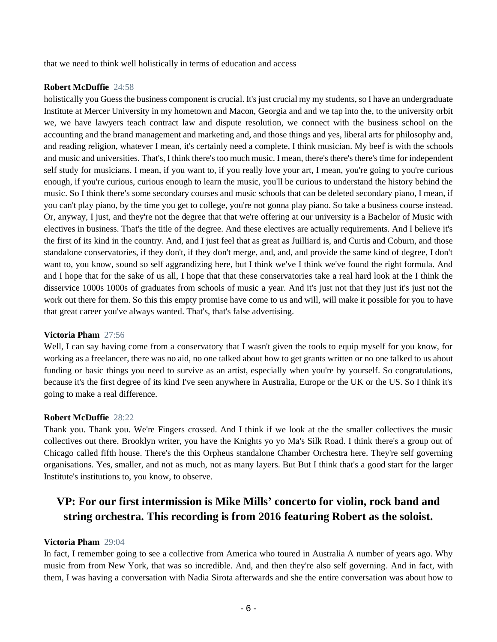that we need to think well holistically in terms of education and access

#### **Robert McDuffie** 24:58

holistically you Guess the business component is crucial. It's just crucial my my students, so I have an undergraduate Institute at Mercer University in my hometown and Macon, Georgia and and we tap into the, to the university orbit we, we have lawyers teach contract law and dispute resolution, we connect with the business school on the accounting and the brand management and marketing and, and those things and yes, liberal arts for philosophy and, and reading religion, whatever I mean, it's certainly need a complete, I think musician. My beef is with the schools and music and universities. That's, I think there's too much music. I mean, there's there's there's time for independent self study for musicians. I mean, if you want to, if you really love your art, I mean, you're going to you're curious enough, if you're curious, curious enough to learn the music, you'll be curious to understand the history behind the music. So I think there's some secondary courses and music schools that can be deleted secondary piano, I mean, if you can't play piano, by the time you get to college, you're not gonna play piano. So take a business course instead. Or, anyway, I just, and they're not the degree that that we're offering at our university is a Bachelor of Music with electives in business. That's the title of the degree. And these electives are actually requirements. And I believe it's the first of its kind in the country. And, and I just feel that as great as Juilliard is, and Curtis and Coburn, and those standalone conservatories, if they don't, if they don't merge, and, and, and provide the same kind of degree, I don't want to, you know, sound so self aggrandizing here, but I think we've I think we've found the right formula. And and I hope that for the sake of us all, I hope that that these conservatories take a real hard look at the I think the disservice 1000s 1000s of graduates from schools of music a year. And it's just not that they just it's just not the work out there for them. So this this empty promise have come to us and will, will make it possible for you to have that great career you've always wanted. That's, that's false advertising.

#### **Victoria Pham** 27:56

Well, I can say having come from a conservatory that I wasn't given the tools to equip myself for you know, for working as a freelancer, there was no aid, no one talked about how to get grants written or no one talked to us about funding or basic things you need to survive as an artist, especially when you're by yourself. So congratulations, because it's the first degree of its kind I've seen anywhere in Australia, Europe or the UK or the US. So I think it's going to make a real difference.

#### **Robert McDuffie** 28:22

Thank you. Thank you. We're Fingers crossed. And I think if we look at the the smaller collectives the music collectives out there. Brooklyn writer, you have the Knights yo yo Ma's Silk Road. I think there's a group out of Chicago called fifth house. There's the this Orpheus standalone Chamber Orchestra here. They're self governing organisations. Yes, smaller, and not as much, not as many layers. But But I think that's a good start for the larger Institute's institutions to, you know, to observe.

# **VP: For our first intermission is Mike Mills' concerto for violin, rock band and string orchestra. This recording is from 2016 featuring Robert as the soloist.**

#### **Victoria Pham** 29:04

In fact, I remember going to see a collective from America who toured in Australia A number of years ago. Why music from from New York, that was so incredible. And, and then they're also self governing. And in fact, with them, I was having a conversation with Nadia Sirota afterwards and she the entire conversation was about how to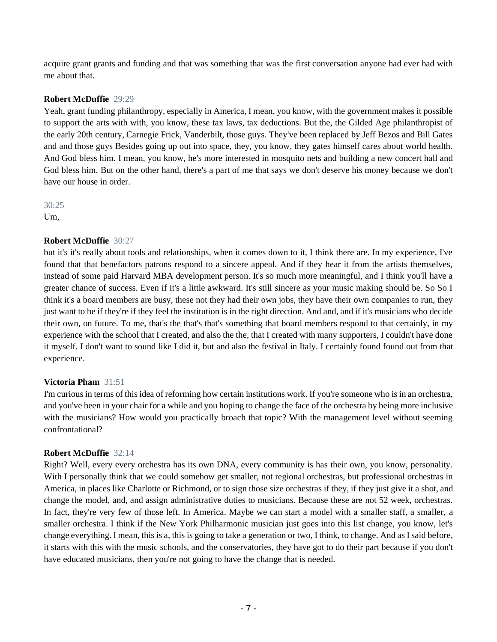acquire grant grants and funding and that was something that was the first conversation anyone had ever had with me about that.

# **Robert McDuffie** 29:29

Yeah, grant funding philanthropy, especially in America, I mean, you know, with the government makes it possible to support the arts with with, you know, these tax laws, tax deductions. But the, the Gilded Age philanthropist of the early 20th century, Carnegie Frick, Vanderbilt, those guys. They've been replaced by Jeff Bezos and Bill Gates and and those guys Besides going up out into space, they, you know, they gates himself cares about world health. And God bless him. I mean, you know, he's more interested in mosquito nets and building a new concert hall and God bless him. But on the other hand, there's a part of me that says we don't deserve his money because we don't have our house in order.

#### 30:25

Um,

# **Robert McDuffie** 30:27

but it's it's really about tools and relationships, when it comes down to it, I think there are. In my experience, I've found that that benefactors patrons respond to a sincere appeal. And if they hear it from the artists themselves, instead of some paid Harvard MBA development person. It's so much more meaningful, and I think you'll have a greater chance of success. Even if it's a little awkward. It's still sincere as your music making should be. So So I think it's a board members are busy, these not they had their own jobs, they have their own companies to run, they just want to be if they're if they feel the institution is in the right direction. And and, and if it's musicians who decide their own, on future. To me, that's the that's that's something that board members respond to that certainly, in my experience with the school that I created, and also the the, that I created with many supporters, I couldn't have done it myself. I don't want to sound like I did it, but and also the festival in Italy. I certainly found found out from that experience.

#### **Victoria Pham** 31:51

I'm curious in terms of this idea of reforming how certain institutions work. If you're someone who is in an orchestra, and you've been in your chair for a while and you hoping to change the face of the orchestra by being more inclusive with the musicians? How would you practically broach that topic? With the management level without seeming confrontational?

#### **Robert McDuffie** 32:14

Right? Well, every every orchestra has its own DNA, every community is has their own, you know, personality. With I personally think that we could somehow get smaller, not regional orchestras, but professional orchestras in America, in places like Charlotte or Richmond, or to sign those size orchestras if they, if they just give it a shot, and change the model, and, and assign administrative duties to musicians. Because these are not 52 week, orchestras. In fact, they're very few of those left. In America. Maybe we can start a model with a smaller staff, a smaller, a smaller orchestra. I think if the New York Philharmonic musician just goes into this list change, you know, let's change everything. I mean, this is a, this is going to take a generation or two, I think, to change. And as I said before, it starts with this with the music schools, and the conservatories, they have got to do their part because if you don't have educated musicians, then you're not going to have the change that is needed.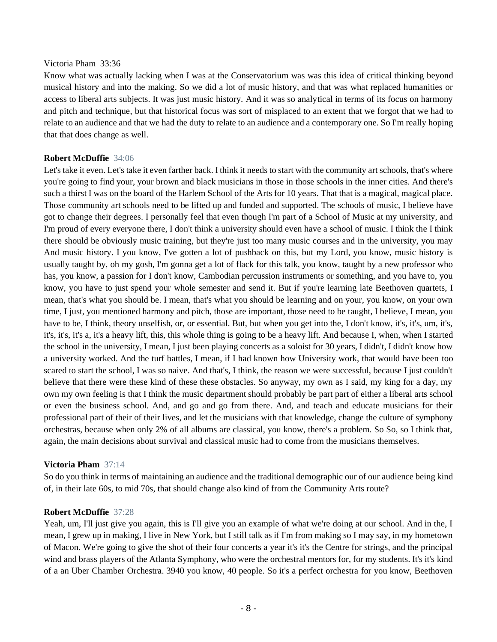#### Victoria Pham 33:36

Know what was actually lacking when I was at the Conservatorium was was this idea of critical thinking beyond musical history and into the making. So we did a lot of music history, and that was what replaced humanities or access to liberal arts subjects. It was just music history. And it was so analytical in terms of its focus on harmony and pitch and technique, but that historical focus was sort of misplaced to an extent that we forgot that we had to relate to an audience and that we had the duty to relate to an audience and a contemporary one. So I'm really hoping that that does change as well.

#### **Robert McDuffie** 34:06

Let's take it even. Let's take it even farther back. I think it needs to start with the community art schools, that's where you're going to find your, your brown and black musicians in those in those schools in the inner cities. And there's such a thirst I was on the board of the Harlem School of the Arts for 10 years. That that is a magical, magical place. Those community art schools need to be lifted up and funded and supported. The schools of music, I believe have got to change their degrees. I personally feel that even though I'm part of a School of Music at my university, and I'm proud of every everyone there, I don't think a university should even have a school of music. I think the I think there should be obviously music training, but they're just too many music courses and in the university, you may And music history. I you know, I've gotten a lot of pushback on this, but my Lord, you know, music history is usually taught by, oh my gosh, I'm gonna get a lot of flack for this talk, you know, taught by a new professor who has, you know, a passion for I don't know, Cambodian percussion instruments or something, and you have to, you know, you have to just spend your whole semester and send it. But if you're learning late Beethoven quartets, I mean, that's what you should be. I mean, that's what you should be learning and on your, you know, on your own time, I just, you mentioned harmony and pitch, those are important, those need to be taught, I believe, I mean, you have to be, I think, theory unselfish, or, or essential. But, but when you get into the, I don't know, it's, it's, um, it's, it's, it's, it's a, it's a heavy lift, this, this whole thing is going to be a heavy lift. And because I, when, when I started the school in the university, I mean, I just been playing concerts as a soloist for 30 years, I didn't, I didn't know how a university worked. And the turf battles, I mean, if I had known how University work, that would have been too scared to start the school, I was so naive. And that's, I think, the reason we were successful, because I just couldn't believe that there were these kind of these these obstacles. So anyway, my own as I said, my king for a day, my own my own feeling is that I think the music department should probably be part part of either a liberal arts school or even the business school. And, and go and go from there. And, and teach and educate musicians for their professional part of their of their lives, and let the musicians with that knowledge, change the culture of symphony orchestras, because when only 2% of all albums are classical, you know, there's a problem. So So, so I think that, again, the main decisions about survival and classical music had to come from the musicians themselves.

#### **Victoria Pham** 37:14

So do you think in terms of maintaining an audience and the traditional demographic our of our audience being kind of, in their late 60s, to mid 70s, that should change also kind of from the Community Arts route?

#### **Robert McDuffie** 37:28

Yeah, um, I'll just give you again, this is I'll give you an example of what we're doing at our school. And in the, I mean, I grew up in making, I live in New York, but I still talk as if I'm from making so I may say, in my hometown of Macon. We're going to give the shot of their four concerts a year it's it's the Centre for strings, and the principal wind and brass players of the Atlanta Symphony, who were the orchestral mentors for, for my students. It's it's kind of a an Uber Chamber Orchestra. 3940 you know, 40 people. So it's a perfect orchestra for you know, Beethoven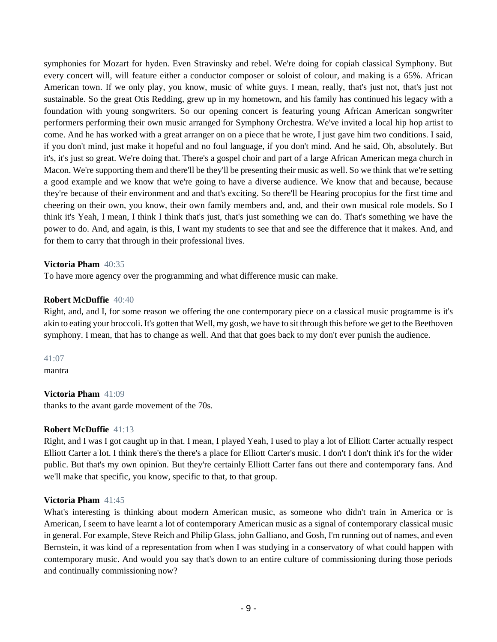symphonies for Mozart for hyden. Even Stravinsky and rebel. We're doing for copiah classical Symphony. But every concert will, will feature either a conductor composer or soloist of colour, and making is a 65%. African American town. If we only play, you know, music of white guys. I mean, really, that's just not, that's just not sustainable. So the great Otis Redding, grew up in my hometown, and his family has continued his legacy with a foundation with young songwriters. So our opening concert is featuring young African American songwriter performers performing their own music arranged for Symphony Orchestra. We've invited a local hip hop artist to come. And he has worked with a great arranger on on a piece that he wrote, I just gave him two conditions. I said, if you don't mind, just make it hopeful and no foul language, if you don't mind. And he said, Oh, absolutely. But it's, it's just so great. We're doing that. There's a gospel choir and part of a large African American mega church in Macon. We're supporting them and there'll be they'll be presenting their music as well. So we think that we're setting a good example and we know that we're going to have a diverse audience. We know that and because, because they're because of their environment and and that's exciting. So there'll be Hearing procopius for the first time and cheering on their own, you know, their own family members and, and, and their own musical role models. So I think it's Yeah, I mean, I think I think that's just, that's just something we can do. That's something we have the power to do. And, and again, is this, I want my students to see that and see the difference that it makes. And, and for them to carry that through in their professional lives.

#### **Victoria Pham** 40:35

To have more agency over the programming and what difference music can make.

# **Robert McDuffie** 40:40

Right, and, and I, for some reason we offering the one contemporary piece on a classical music programme is it's akin to eating your broccoli. It's gotten that Well, my gosh, we have to sit through this before we get to the Beethoven symphony. I mean, that has to change as well. And that that goes back to my don't ever punish the audience.

41:07

mantra

#### **Victoria Pham** 41:09

thanks to the avant garde movement of the 70s.

#### **Robert McDuffie** 41:13

Right, and I was I got caught up in that. I mean, I played Yeah, I used to play a lot of Elliott Carter actually respect Elliott Carter a lot. I think there's the there's a place for Elliott Carter's music. I don't I don't think it's for the wider public. But that's my own opinion. But they're certainly Elliott Carter fans out there and contemporary fans. And we'll make that specific, you know, specific to that, to that group.

# **Victoria Pham** 41:45

What's interesting is thinking about modern American music, as someone who didn't train in America or is American, I seem to have learnt a lot of contemporary American music as a signal of contemporary classical music in general. For example, Steve Reich and Philip Glass, john Galliano, and Gosh, I'm running out of names, and even Bernstein, it was kind of a representation from when I was studying in a conservatory of what could happen with contemporary music. And would you say that's down to an entire culture of commissioning during those periods and continually commissioning now?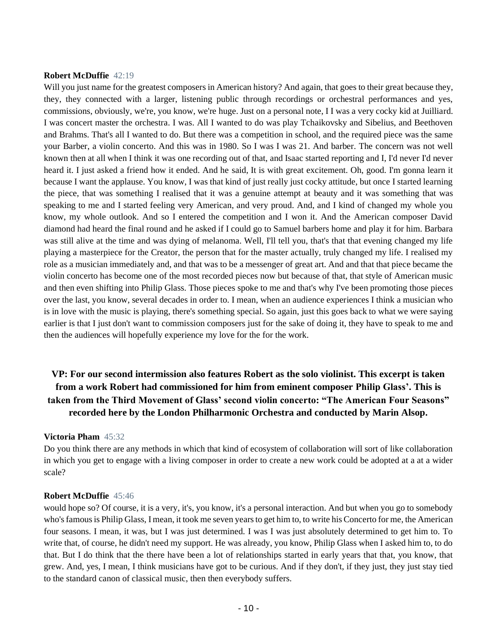#### **Robert McDuffie** 42:19

Will you just name for the greatest composers in American history? And again, that goes to their great because they, they, they connected with a larger, listening public through recordings or orchestral performances and yes, commissions, obviously, we're, you know, we're huge. Just on a personal note, I I was a very cocky kid at Juilliard. I was concert master the orchestra. I was. All I wanted to do was play Tchaikovsky and Sibelius, and Beethoven and Brahms. That's all I wanted to do. But there was a competition in school, and the required piece was the same your Barber, a violin concerto. And this was in 1980. So I was I was 21. And barber. The concern was not well known then at all when I think it was one recording out of that, and Isaac started reporting and I, I'd never I'd never heard it. I just asked a friend how it ended. And he said, It is with great excitement. Oh, good. I'm gonna learn it because I want the applause. You know, I was that kind of just really just cocky attitude, but once I started learning the piece, that was something I realised that it was a genuine attempt at beauty and it was something that was speaking to me and I started feeling very American, and very proud. And, and I kind of changed my whole you know, my whole outlook. And so I entered the competition and I won it. And the American composer David diamond had heard the final round and he asked if I could go to Samuel barbers home and play it for him. Barbara was still alive at the time and was dying of melanoma. Well, I'll tell you, that's that that evening changed my life playing a masterpiece for the Creator, the person that for the master actually, truly changed my life. I realised my role as a musician immediately and, and that was to be a messenger of great art. And and that that piece became the violin concerto has become one of the most recorded pieces now but because of that, that style of American music and then even shifting into Philip Glass. Those pieces spoke to me and that's why I've been promoting those pieces over the last, you know, several decades in order to. I mean, when an audience experiences I think a musician who is in love with the music is playing, there's something special. So again, just this goes back to what we were saying earlier is that I just don't want to commission composers just for the sake of doing it, they have to speak to me and then the audiences will hopefully experience my love for the for the work.

# **VP: For our second intermission also features Robert as the solo violinist. This excerpt is taken from a work Robert had commissioned for him from eminent composer Philip Glass'. This is taken from the Third Movement of Glass' second violin concerto: "The American Four Seasons" recorded here by the London Philharmonic Orchestra and conducted by Marin Alsop.**

#### **Victoria Pham** 45:32

Do you think there are any methods in which that kind of ecosystem of collaboration will sort of like collaboration in which you get to engage with a living composer in order to create a new work could be adopted at a at a wider scale?

#### **Robert McDuffie** 45:46

would hope so? Of course, it is a very, it's, you know, it's a personal interaction. And but when you go to somebody who's famous is Philip Glass, I mean, it took me seven years to get him to, to write his Concerto for me, the American four seasons. I mean, it was, but I was just determined. I was I was just absolutely determined to get him to. To write that, of course, he didn't need my support. He was already, you know, Philip Glass when I asked him to, to do that. But I do think that the there have been a lot of relationships started in early years that that, you know, that grew. And, yes, I mean, I think musicians have got to be curious. And if they don't, if they just, they just stay tied to the standard canon of classical music, then then everybody suffers.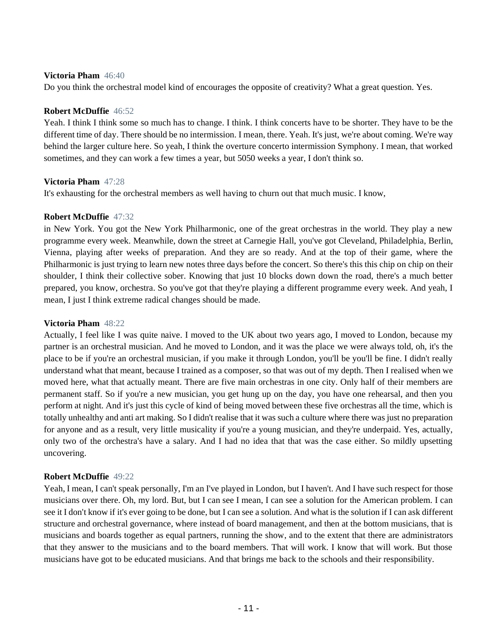#### **Victoria Pham** 46:40

Do you think the orchestral model kind of encourages the opposite of creativity? What a great question. Yes.

#### **Robert McDuffie** 46:52

Yeah. I think I think some so much has to change. I think. I think concerts have to be shorter. They have to be the different time of day. There should be no intermission. I mean, there. Yeah. It's just, we're about coming. We're way behind the larger culture here. So yeah, I think the overture concerto intermission Symphony. I mean, that worked sometimes, and they can work a few times a year, but 5050 weeks a year, I don't think so.

#### **Victoria Pham** 47:28

It's exhausting for the orchestral members as well having to churn out that much music. I know,

## **Robert McDuffie** 47:32

in New York. You got the New York Philharmonic, one of the great orchestras in the world. They play a new programme every week. Meanwhile, down the street at Carnegie Hall, you've got Cleveland, Philadelphia, Berlin, Vienna, playing after weeks of preparation. And they are so ready. And at the top of their game, where the Philharmonic is just trying to learn new notes three days before the concert. So there's this this chip on chip on their shoulder, I think their collective sober. Knowing that just 10 blocks down down the road, there's a much better prepared, you know, orchestra. So you've got that they're playing a different programme every week. And yeah, I mean, I just I think extreme radical changes should be made.

#### **Victoria Pham** 48:22

Actually, I feel like I was quite naive. I moved to the UK about two years ago, I moved to London, because my partner is an orchestral musician. And he moved to London, and it was the place we were always told, oh, it's the place to be if you're an orchestral musician, if you make it through London, you'll be you'll be fine. I didn't really understand what that meant, because I trained as a composer, so that was out of my depth. Then I realised when we moved here, what that actually meant. There are five main orchestras in one city. Only half of their members are permanent staff. So if you're a new musician, you get hung up on the day, you have one rehearsal, and then you perform at night. And it's just this cycle of kind of being moved between these five orchestras all the time, which is totally unhealthy and anti art making. So I didn't realise that it was such a culture where there was just no preparation for anyone and as a result, very little musicality if you're a young musician, and they're underpaid. Yes, actually, only two of the orchestra's have a salary. And I had no idea that that was the case either. So mildly upsetting uncovering.

#### **Robert McDuffie** 49:22

Yeah, I mean, I can't speak personally, I'm an I've played in London, but I haven't. And I have such respect for those musicians over there. Oh, my lord. But, but I can see I mean, I can see a solution for the American problem. I can see it I don't know if it's ever going to be done, but I can see a solution. And what is the solution if I can ask different structure and orchestral governance, where instead of board management, and then at the bottom musicians, that is musicians and boards together as equal partners, running the show, and to the extent that there are administrators that they answer to the musicians and to the board members. That will work. I know that will work. But those musicians have got to be educated musicians. And that brings me back to the schools and their responsibility.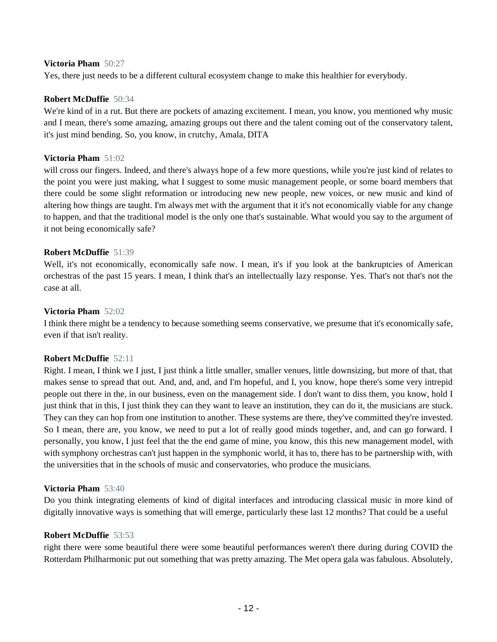#### **Victoria Pham** 50:27

Yes, there just needs to be a different cultural ecosystem change to make this healthier for everybody.

#### **Robert McDuffie** 50:34

We're kind of in a rut. But there are pockets of amazing excitement. I mean, you know, you mentioned why music and I mean, there's some amazing, amazing groups out there and the talent coming out of the conservatory talent, it's just mind bending. So, you know, in crutchy, Amala, DITA

#### **Victoria Pham** 51:02

will cross our fingers. Indeed, and there's always hope of a few more questions, while you're just kind of relates to the point you were just making, what I suggest to some music management people, or some board members that there could be some slight reformation or introducing new new people, new voices, or new music and kind of altering how things are taught. I'm always met with the argument that it it's not economically viable for any change to happen, and that the traditional model is the only one that's sustainable. What would you say to the argument of it not being economically safe?

#### **Robert McDuffie** 51:39

Well, it's not economically, economically safe now. I mean, it's if you look at the bankruptcies of American orchestras of the past 15 years. I mean, I think that's an intellectually lazy response. Yes. That's not that's not the case at all.

#### **Victoria Pham** 52:02

I think there might be a tendency to because something seems conservative, we presume that it's economically safe, even if that isn't reality.

#### **Robert McDuffie** 52:11

Right. I mean, I think we I just, I just think a little smaller, smaller venues, little downsizing, but more of that, that makes sense to spread that out. And, and, and, and I'm hopeful, and I, you know, hope there's some very intrepid people out there in the, in our business, even on the management side. I don't want to diss them, you know, hold I just think that in this, I just think they can they want to leave an institution, they can do it, the musicians are stuck. They can they can hop from one institution to another. These systems are there, they've committed they're invested. So I mean, there are, you know, we need to put a lot of really good minds together, and, and can go forward. I personally, you know, I just feel that the the end game of mine, you know, this this new management model, with with symphony orchestras can't just happen in the symphonic world, it has to, there has to be partnership with, with the universities that in the schools of music and conservatories, who produce the musicians.

#### **Victoria Pham** 53:40

Do you think integrating elements of kind of digital interfaces and introducing classical music in more kind of digitally innovative ways is something that will emerge, particularly these last 12 months? That could be a useful

#### **Robert McDuffie** 53:53

right there were some beautiful there were some beautiful performances weren't there during during COVID the Rotterdam Philharmonic put out something that was pretty amazing. The Met opera gala was fabulous. Absolutely,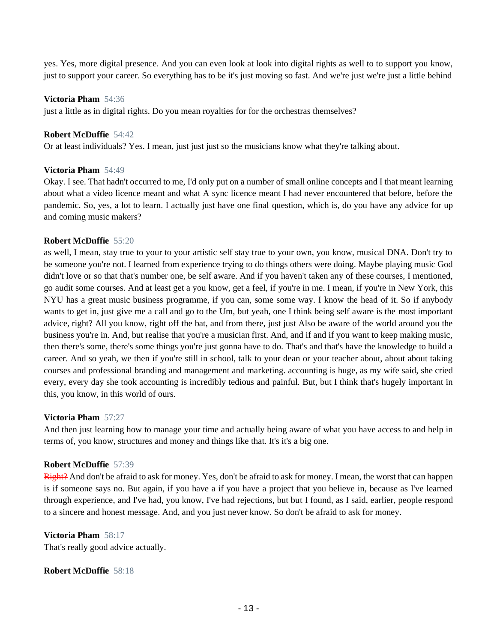yes. Yes, more digital presence. And you can even look at look into digital rights as well to to support you know, just to support your career. So everything has to be it's just moving so fast. And we're just we're just a little behind

#### **Victoria Pham** 54:36

just a little as in digital rights. Do you mean royalties for for the orchestras themselves?

## **Robert McDuffie** 54:42

Or at least individuals? Yes. I mean, just just just so the musicians know what they're talking about.

# **Victoria Pham** 54:49

Okay. I see. That hadn't occurred to me, I'd only put on a number of small online concepts and I that meant learning about what a video licence meant and what A sync licence meant I had never encountered that before, before the pandemic. So, yes, a lot to learn. I actually just have one final question, which is, do you have any advice for up and coming music makers?

# **Robert McDuffie** 55:20

as well, I mean, stay true to your to your artistic self stay true to your own, you know, musical DNA. Don't try to be someone you're not. I learned from experience trying to do things others were doing. Maybe playing music God didn't love or so that that's number one, be self aware. And if you haven't taken any of these courses, I mentioned, go audit some courses. And at least get a you know, get a feel, if you're in me. I mean, if you're in New York, this NYU has a great music business programme, if you can, some some way. I know the head of it. So if anybody wants to get in, just give me a call and go to the Um, but yeah, one I think being self aware is the most important advice, right? All you know, right off the bat, and from there, just just Also be aware of the world around you the business you're in. And, but realise that you're a musician first. And, and if and if you want to keep making music, then there's some, there's some things you're just gonna have to do. That's and that's have the knowledge to build a career. And so yeah, we then if you're still in school, talk to your dean or your teacher about, about about taking courses and professional branding and management and marketing. accounting is huge, as my wife said, she cried every, every day she took accounting is incredibly tedious and painful. But, but I think that's hugely important in this, you know, in this world of ours.

#### **Victoria Pham** 57:27

And then just learning how to manage your time and actually being aware of what you have access to and help in terms of, you know, structures and money and things like that. It's it's a big one.

#### **Robert McDuffie** 57:39

Right? And don't be afraid to ask for money. Yes, don't be afraid to ask for money. I mean, the worst that can happen is if someone says no. But again, if you have a if you have a project that you believe in, because as I've learned through experience, and I've had, you know, I've had rejections, but but I found, as I said, earlier, people respond to a sincere and honest message. And, and you just never know. So don't be afraid to ask for money.

# **Victoria Pham** 58:17

That's really good advice actually.

# **Robert McDuffie** 58:18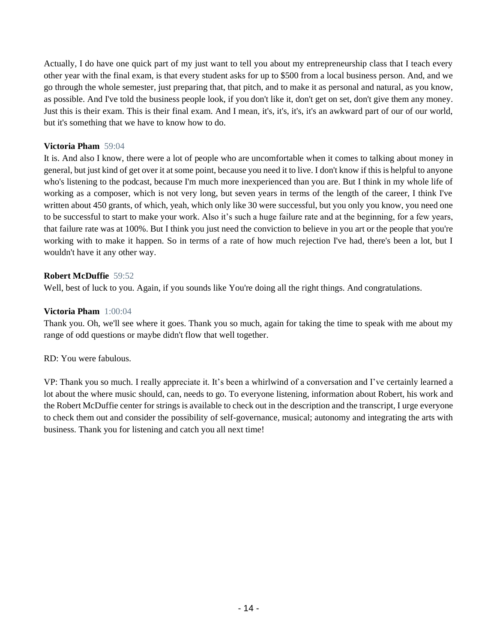Actually, I do have one quick part of my just want to tell you about my entrepreneurship class that I teach every other year with the final exam, is that every student asks for up to \$500 from a local business person. And, and we go through the whole semester, just preparing that, that pitch, and to make it as personal and natural, as you know, as possible. And I've told the business people look, if you don't like it, don't get on set, don't give them any money. Just this is their exam. This is their final exam. And I mean, it's, it's, it's, it's an awkward part of our of our world, but it's something that we have to know how to do.

# **Victoria Pham** 59:04

It is. And also I know, there were a lot of people who are uncomfortable when it comes to talking about money in general, but just kind of get over it at some point, because you need it to live. I don't know if this is helpful to anyone who's listening to the podcast, because I'm much more inexperienced than you are. But I think in my whole life of working as a composer, which is not very long, but seven years in terms of the length of the career, I think I've written about 450 grants, of which, yeah, which only like 30 were successful, but you only you know, you need one to be successful to start to make your work. Also it's such a huge failure rate and at the beginning, for a few years, that failure rate was at 100%. But I think you just need the conviction to believe in you art or the people that you're working with to make it happen. So in terms of a rate of how much rejection I've had, there's been a lot, but I wouldn't have it any other way.

# **Robert McDuffie** 59:52

Well, best of luck to you. Again, if you sounds like You're doing all the right things. And congratulations.

#### **Victoria Pham** 1:00:04

Thank you. Oh, we'll see where it goes. Thank you so much, again for taking the time to speak with me about my range of odd questions or maybe didn't flow that well together.

#### RD: You were fabulous.

VP: Thank you so much. I really appreciate it. It's been a whirlwind of a conversation and I've certainly learned a lot about the where music should, can, needs to go. To everyone listening, information about Robert, his work and the Robert McDuffie center for strings is available to check out in the description and the transcript, I urge everyone to check them out and consider the possibility of self-governance, musical; autonomy and integrating the arts with business. Thank you for listening and catch you all next time!